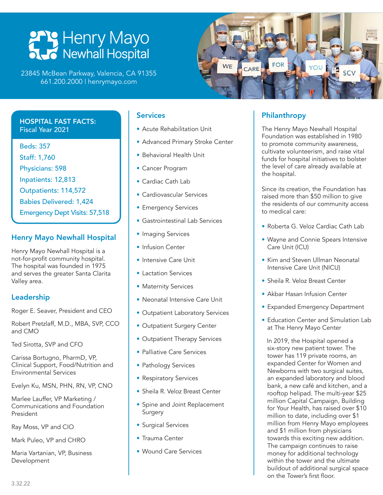# **PPP Henry Mayo**<br>
Newhall Hospital

23845 McBean Parkway, Valencia, CA 91355 661.200.2000 | henrymayo.com



### HOSPITAL FAST FACTS: Fiscal Year 2021

Beds: 357 Staff: 1,760 Physicians: 598 Inpatients: 12,813 Outpatients: 114,572 Babies Delivered: 1,424 Emergency Dept Visits: 57,518

## Henry Mayo Newhall Hospital

Henry Mayo Newhall Hospital is a not-for-profit community hospital. The hospital was founded in 1975 and serves the greater Santa Clarita Valley area.

# Leadership

Roger E. Seaver, President and CEO

Robert Pretzlaff, M.D., MBA, SVP, CCO and CMO

Ted Sirotta, SVP and CFO

Carissa Bortugno, PharmD, VP, Clinical Support, Food/Nutrition and Environmental Services

Evelyn Ku, MSN, PHN, RN, VP, CNO

Marlee Lauffer, VP Marketing / Communications and Foundation President

Ray Moss, VP and CIO

Mark Puleo, VP and CHRO

Maria Vartanian, VP, Business Development

### **Services**

- Acute Rehabilitation Unit
- Advanced Primary Stroke Center
- Behavioral Health Unit
- Cancer Program
- Cardiac Cath Lab
- Cardiovascular Services
- Emergency Services
- Gastrointestinal Lab Services
- Imaging Services
- Infusion Center
- Intensive Care Unit
- Lactation Services
- Maternity Services
- Neonatal Intensive Care Unit
- Outpatient Laboratory Services
- Outpatient Surgery Center
- Outpatient Therapy Services
- Palliative Care Services
- Pathology Services
- Respiratory Services
- Sheila R. Veloz Breast Center
- Spine and Joint Replacement Surgery
- Surgical Services
- Trauma Center
- Wound Care Services

# Philanthropy

The Henry Mayo Newhall Hospital Foundation was established in 1980 to promote community awareness, cultivate volunteerism, and raise vital funds for hospital initiatives to bolster the level of care already available at the hospital.

Since its creation, the Foundation has raised more than \$50 million to give the residents of our community access to medical care:

- Roberta G. Veloz Cardiac Cath Lab
- Wayne and Connie Spears Intensive Care Unit (ICU)
- Kim and Steven Ullman Neonatal Intensive Care Unit (NICU)
- Sheila R. Veloz Breast Center
- Akbar Hasan Infusion Center
- Expanded Emergency Department
- Education Center and Simulation Lab at The Henry Mayo Center

In 2019, the Hospital opened a six-story new patient tower. The tower has 119 private rooms, an expanded Center for Women and Newborns with two surgical suites, an expanded laboratory and blood bank, a new café and kitchen, and a rooftop helipad. The multi-year \$25 million Capital Campaign, Building for Your Health, has raised over \$10 million to date, including over \$1 million from Henry Mayo employees and \$1 million from physicians towards this exciting new addition. The campaign continues to raise money for additional technology within the tower and the ultimate buildout of additional surgical space on the Tower's first floor.